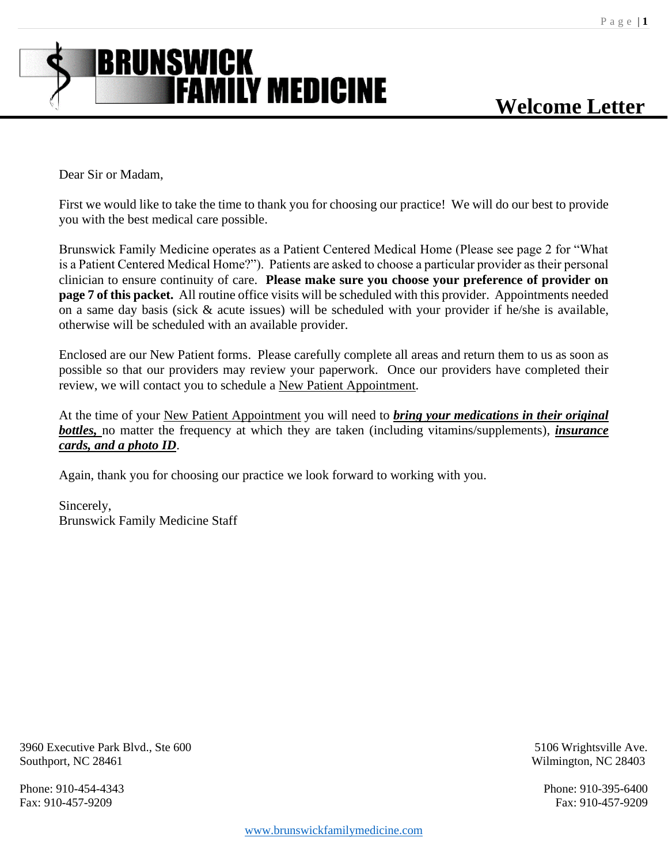

Dear Sir or Madam,

First we would like to take the time to thank you for choosing our practice! We will do our best to provide you with the best medical care possible.

Brunswick Family Medicine operates as a Patient Centered Medical Home (Please see page 2 for "What is a Patient Centered Medical Home?"). Patients are asked to choose a particular provider as their personal clinician to ensure continuity of care. **Please make sure you choose your preference of provider on page 7 of this packet.** All routine office visits will be scheduled with this provider. Appointments needed on a same day basis (sick & acute issues) will be scheduled with your provider if he/she is available, otherwise will be scheduled with an available provider.

Enclosed are our New Patient forms. Please carefully complete all areas and return them to us as soon as possible so that our providers may review your paperwork. Once our providers have completed their review, we will contact you to schedule a New Patient Appointment.

At the time of your New Patient Appointment you will need to *bring your medications in their original bottles,* no matter the frequency at which they are taken (including vitamins/supplements), *insurance cards, and a photo ID*.

Again, thank you for choosing our practice we look forward to working with you.

Sincerely, Brunswick Family Medicine Staff

3960 Executive Park Blvd., Ste 600 5106 Wrightsville Ave. Southport, NC 28461 Wilmington, NC 28403

Phone: 910-454-4343 Phone: 910-395-6400

Fax: 910-457-9209 Fax: 910-457-9209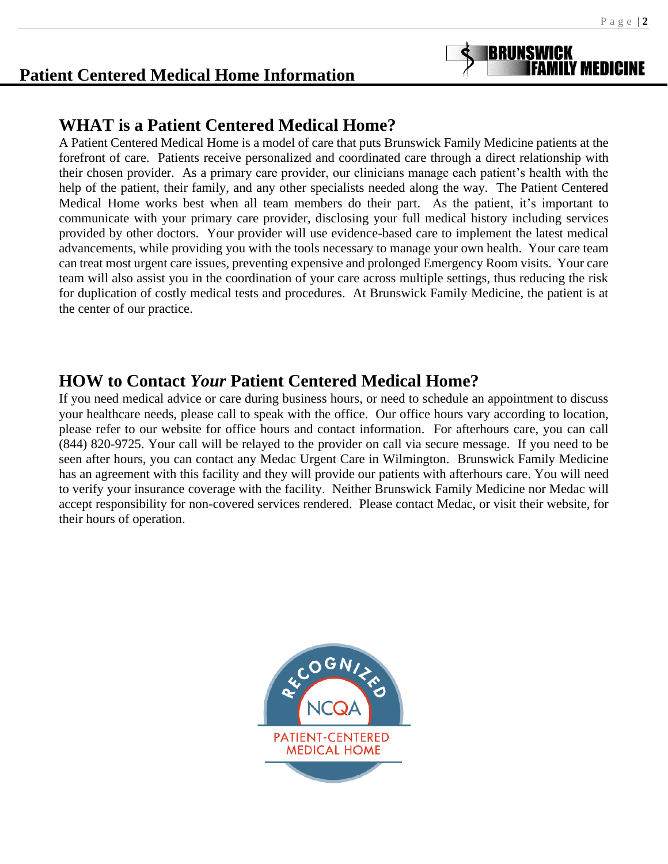# **Patient Centered Medical Home Information**

# **WHAT is a Patient Centered Medical Home?**

A Patient Centered Medical Home is a model of care that puts Brunswick Family Medicine patients at the forefront of care. Patients receive personalized and coordinated care through a direct relationship with their chosen provider. As a primary care provider, our clinicians manage each patient's health with the help of the patient, their family, and any other specialists needed along the way. The Patient Centered Medical Home works best when all team members do their part. As the patient, it's important to communicate with your primary care provider, disclosing your full medical history including services provided by other doctors. Your provider will use evidence-based care to implement the latest medical advancements, while providing you with the tools necessary to manage your own health. Your care team can treat most urgent care issues, preventing expensive and prolonged Emergency Room visits. Your care team will also assist you in the coordination of your care across multiple settings, thus reducing the risk for duplication of costly medical tests and procedures. At Brunswick Family Medicine, the patient is at the center of our practice.

# **HOW to Contact** *Your* **Patient Centered Medical Home?**

If you need medical advice or care during business hours, or need to schedule an appointment to discuss your healthcare needs, please call to speak with the office. Our office hours vary according to location, please refer to our website for office hours and contact information. For afterhours care, you can call (844) 820-9725. Your call will be relayed to the provider on call via secure message. If you need to be seen after hours, you can contact any Medac Urgent Care in Wilmington. Brunswick Family Medicine has an agreement with this facility and they will provide our patients with afterhours care. You will need to verify your insurance coverage with the facility. Neither Brunswick Family Medicine nor Medac will accept responsibility for non-covered services rendered. Please contact Medac, or visit their website, for their hours of operation.

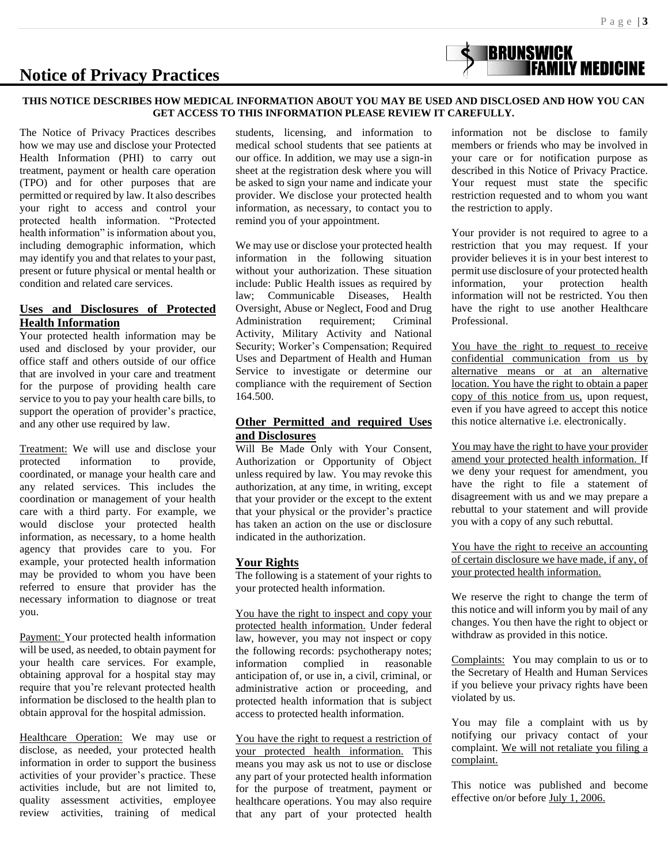## **Notice of Privacy Practices**

#### **THIS NOTICE DESCRIBES HOW MEDICAL INFORMATION ABOUT YOU MAY BE USED AND DISCLOSED AND HOW YOU CAN GET ACCESS TO THIS INFORMATION PLEASE REVIEW IT CAREFULLY.**

The Notice of Privacy Practices describes how we may use and disclose your Protected Health Information (PHI) to carry out treatment, payment or health care operation (TPO) and for other purposes that are permitted or required by law. It also describes your right to access and control your protected health information. "Protected health information" is information about you, including demographic information, which may identify you and that relates to your past, present or future physical or mental health or condition and related care services.

#### **Uses and Disclosures of Protected Health Information**

Your protected health information may be used and disclosed by your provider, our office staff and others outside of our office that are involved in your care and treatment for the purpose of providing health care service to you to pay your health care bills, to support the operation of provider's practice, and any other use required by law.

Treatment: We will use and disclose your protected information to provide, coordinated, or manage your health care and any related services. This includes the coordination or management of your health care with a third party. For example, we would disclose your protected health information, as necessary, to a home health agency that provides care to you. For example, your protected health information may be provided to whom you have been referred to ensure that provider has the necessary information to diagnose or treat you.

Payment: Your protected health information will be used, as needed, to obtain payment for your health care services. For example, obtaining approval for a hospital stay may require that you're relevant protected health information be disclosed to the health plan to obtain approval for the hospital admission.

Healthcare Operation: We may use or disclose, as needed, your protected health information in order to support the business activities of your provider's practice. These activities include, but are not limited to, quality assessment activities, employee review activities, training of medical

students, licensing, and information to medical school students that see patients at our office. In addition, we may use a sign-in sheet at the registration desk where you will be asked to sign your name and indicate your provider. We disclose your protected health information, as necessary, to contact you to remind you of your appointment.

We may use or disclose your protected health information in the following situation without your authorization. These situation include: Public Health issues as required by law; Communicable Diseases, Health Oversight, Abuse or Neglect, Food and Drug Administration requirement; Criminal Activity, Military Activity and National Security; Worker's Compensation; Required Uses and Department of Health and Human Service to investigate or determine our compliance with the requirement of Section 164.500.

#### **Other Permitted and required Uses and Disclosures**

Will Be Made Only with Your Consent, Authorization or Opportunity of Object unless required by law. You may revoke this authorization, at any time, in writing, except that your provider or the except to the extent that your physical or the provider's practice has taken an action on the use or disclosure indicated in the authorization.

#### **Your Rights**

The following is a statement of your rights to your protected health information.

You have the right to inspect and copy your protected health information. Under federal law, however, you may not inspect or copy the following records: psychotherapy notes; information complied in reasonable anticipation of, or use in, a civil, criminal, or administrative action or proceeding, and protected health information that is subject access to protected health information.

You have the right to request a restriction of your protected health information. This means you may ask us not to use or disclose any part of your protected health information for the purpose of treatment, payment or healthcare operations. You may also require that any part of your protected health information not be disclose to family members or friends who may be involved in your care or for notification purpose as described in this Notice of Privacy Practice. Your request must state the specific restriction requested and to whom you want the restriction to apply.

**BRUNSWICK<br>FAMILY MEDICINE** 

Your provider is not required to agree to a restriction that you may request. If your provider believes it is in your best interest to permit use disclosure of your protected health information, your protection health information will not be restricted. You then have the right to use another Healthcare Professional.

You have the right to request to receive confidential communication from us by alternative means or at an alternative location. You have the right to obtain a paper copy of this notice from us, upon request, even if you have agreed to accept this notice this notice alternative i.e. electronically.

You may have the right to have your provider amend your protected health information. If we deny your request for amendment, you have the right to file a statement of disagreement with us and we may prepare a rebuttal to your statement and will provide you with a copy of any such rebuttal.

You have the right to receive an accounting of certain disclosure we have made, if any, of your protected health information.

We reserve the right to change the term of this notice and will inform you by mail of any changes. You then have the right to object or withdraw as provided in this notice.

Complaints: You may complain to us or to the Secretary of Health and Human Services if you believe your privacy rights have been violated by us.

You may file a complaint with us by notifying our privacy contact of your complaint. We will not retaliate you filing a complaint.

This notice was published and become effective on/or before July 1, 2006.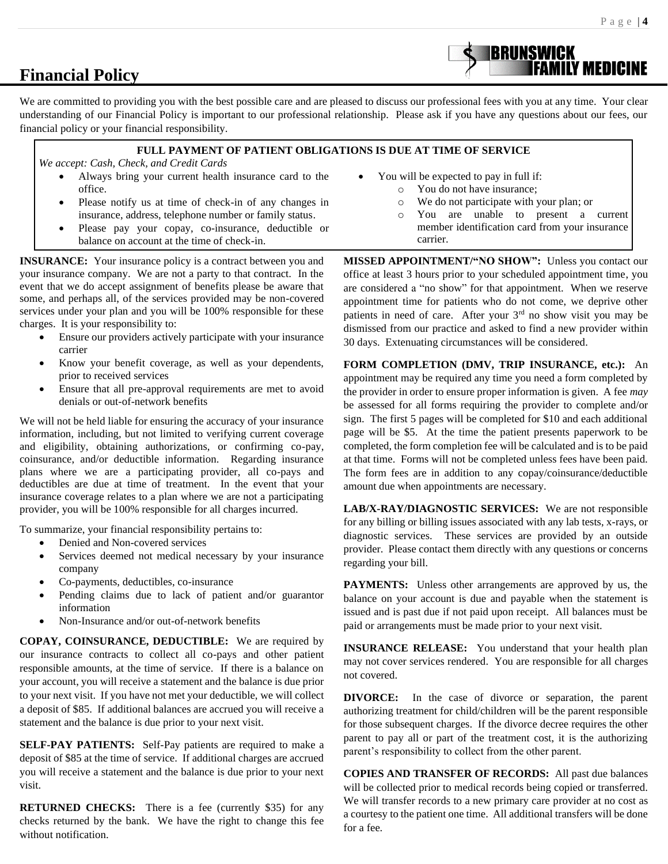## **Financial Policy**

We are committed to providing you with the best possible care and are pleased to discuss our professional fees with you at any time. Your clear understanding of our Financial Policy is important to our professional relationship. Please ask if you have any questions about our fees, our financial policy or your financial responsibility.

#### **FULL PAYMENT OF PATIENT OBLIGATIONS IS DUE AT TIME OF SERVICE**

 *We accept: Cash, Check, and Credit Cards*

- Always bring your current health insurance card to the office.
- Please notify us at time of check-in of any changes in insurance, address, telephone number or family status.
- Please pay your copay, co-insurance, deductible or balance on account at the time of check-in.

**INSURANCE:** Your insurance policy is a contract between you and your insurance company. We are not a party to that contract. In the event that we do accept assignment of benefits please be aware that some, and perhaps all, of the services provided may be non-covered services under your plan and you will be 100% responsible for these charges. It is your responsibility to:

- Ensure our providers actively participate with your insurance carrier
- Know your benefit coverage, as well as your dependents, prior to received services
- Ensure that all pre-approval requirements are met to avoid denials or out-of-network benefits

We will not be held liable for ensuring the accuracy of your insurance information, including, but not limited to verifying current coverage and eligibility, obtaining authorizations, or confirming co-pay, coinsurance, and/or deductible information. Regarding insurance plans where we are a participating provider, all co-pays and deductibles are due at time of treatment. In the event that your insurance coverage relates to a plan where we are not a participating provider, you will be 100% responsible for all charges incurred.

To summarize, your financial responsibility pertains to:

- Denied and Non-covered services
- Services deemed not medical necessary by your insurance company
- Co-payments, deductibles, co-insurance
- Pending claims due to lack of patient and/or guarantor information
- Non-Insurance and/or out-of-network benefits

**COPAY, COINSURANCE, DEDUCTIBLE:** We are required by our insurance contracts to collect all co-pays and other patient responsible amounts, at the time of service. If there is a balance on your account, you will receive a statement and the balance is due prior to your next visit. If you have not met your deductible, we will collect a deposit of \$85. If additional balances are accrued you will receive a statement and the balance is due prior to your next visit.

**SELF-PAY PATIENTS:** Self-Pay patients are required to make a deposit of \$85 at the time of service. If additional charges are accrued you will receive a statement and the balance is due prior to your next visit.

**RETURNED CHECKS:** There is a fee (currently \$35) for any checks returned by the bank. We have the right to change this fee without notification.

- You will be expected to pay in full if:
	- o You do not have insurance;
	- o We do not participate with your plan; or
	- o You are unable to present a current member identification card from your insurance carrier.

**IBRUNSWICK** 

**MISSED APPOINTMENT/"NO SHOW":** Unless you contact our office at least 3 hours prior to your scheduled appointment time, you are considered a "no show" for that appointment. When we reserve appointment time for patients who do not come, we deprive other patients in need of care. After your 3rd no show visit you may be dismissed from our practice and asked to find a new provider within 30 days. Extenuating circumstances will be considered.

**FORM COMPLETION (DMV, TRIP INSURANCE, etc.):** An appointment may be required any time you need a form completed by the provider in order to ensure proper information is given. A fee *may* be assessed for all forms requiring the provider to complete and/or sign. The first 5 pages will be completed for \$10 and each additional page will be \$5. At the time the patient presents paperwork to be completed, the form completion fee will be calculated and is to be paid at that time. Forms will not be completed unless fees have been paid. The form fees are in addition to any copay/coinsurance/deductible amount due when appointments are necessary.

**LAB/X-RAY/DIAGNOSTIC SERVICES:** We are not responsible for any billing or billing issues associated with any lab tests, x-rays, or diagnostic services. These services are provided by an outside provider. Please contact them directly with any questions or concerns regarding your bill.

**PAYMENTS:** Unless other arrangements are approved by us, the balance on your account is due and payable when the statement is issued and is past due if not paid upon receipt. All balances must be paid or arrangements must be made prior to your next visit.

**INSURANCE RELEASE:** You understand that your health plan may not cover services rendered. You are responsible for all charges not covered.

**DIVORCE:** In the case of divorce or separation, the parent authorizing treatment for child/children will be the parent responsible for those subsequent charges. If the divorce decree requires the other parent to pay all or part of the treatment cost, it is the authorizing parent's responsibility to collect from the other parent.

**COPIES AND TRANSFER OF RECORDS:** All past due balances will be collected prior to medical records being copied or transferred. We will transfer records to a new primary care provider at no cost as a courtesy to the patient one time. All additional transfers will be done for a fee.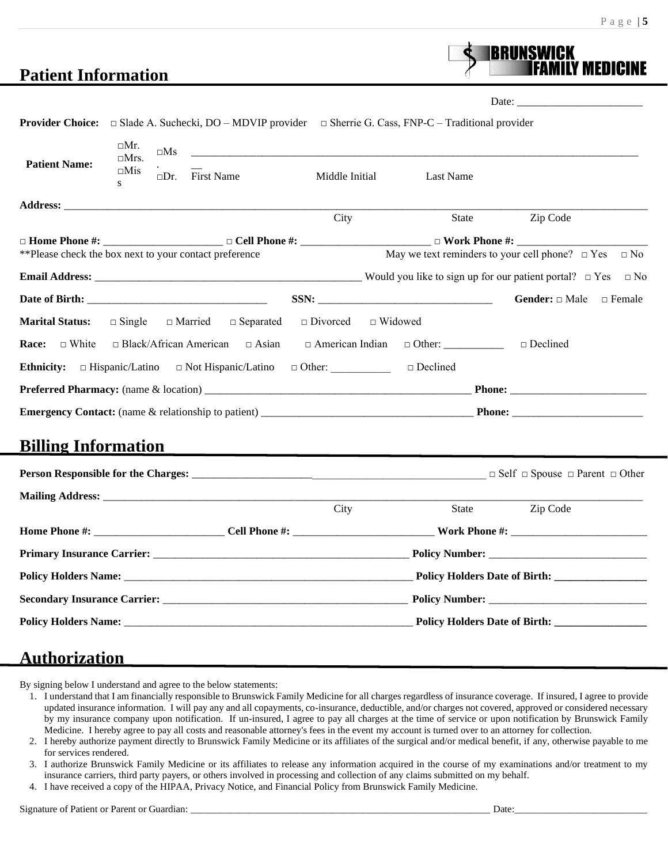## **Patient Information**

Date: \_\_\_\_\_\_\_\_\_\_\_\_\_\_\_\_\_\_\_\_\_\_\_

**BRUNSWICK** 

|                                                        |                                                      |                                                                                   |                                               | <b>Provider Choice:</b> $\Box$ Slade A. Suchecki, DO – MDVIP provider $\Box$ Sherrie G. Cass, FNP-C – Traditional provider |                                                                |
|--------------------------------------------------------|------------------------------------------------------|-----------------------------------------------------------------------------------|-----------------------------------------------|----------------------------------------------------------------------------------------------------------------------------|----------------------------------------------------------------|
| <b>Patient Name:</b><br>S                              | □Mr.<br>$\square$ Ms<br>$\Box$ Mrs.<br>$\square$ Mis | $\square$ Dr. First Name                                                          | Middle Initial                                | <u> 1989 - Jan James Barnett, fransk politiker (d. 1982)</u><br>Last Name                                                  |                                                                |
|                                                        |                                                      |                                                                                   | City                                          | State                                                                                                                      | Zip Code                                                       |
|                                                        |                                                      |                                                                                   |                                               |                                                                                                                            |                                                                |
| **Please check the box next to your contact preference |                                                      |                                                                                   |                                               |                                                                                                                            | May we text reminders to your cell phone? $\Box$ Yes $\Box$ No |
|                                                        |                                                      |                                                                                   |                                               |                                                                                                                            |                                                                |
|                                                        |                                                      |                                                                                   |                                               |                                                                                                                            | Gender: □ Male<br>$\Box$ Female                                |
| <b>Marital Status:</b>                                 |                                                      | $\Box$ Single $\Box$ Married $\Box$ Separated $\Box$ Divorced                     |                                               | $\Box$ Widowed                                                                                                             |                                                                |
| $\Box$ White<br>Race:                                  |                                                      | <b>Ethnicity:</b> $\Box$ Hispanic/Latino $\Box$ Not Hispanic/Latino $\Box$ Other: |                                               | □ Black/African American □ Asian □ American Indian □ Other: ___________<br>□ Declined                                      | □ Declined                                                     |
|                                                        |                                                      |                                                                                   |                                               |                                                                                                                            |                                                                |
|                                                        |                                                      |                                                                                   |                                               |                                                                                                                            |                                                                |
| <b>Billing Information</b>                             |                                                      |                                                                                   | <u> 1989 - Andrea Andrew Maria (h. 1989).</u> |                                                                                                                            |                                                                |
|                                                        |                                                      |                                                                                   |                                               |                                                                                                                            |                                                                |
|                                                        |                                                      |                                                                                   |                                               |                                                                                                                            |                                                                |
|                                                        |                                                      |                                                                                   | City                                          | State                                                                                                                      | Zip Code                                                       |
|                                                        |                                                      |                                                                                   |                                               |                                                                                                                            |                                                                |
|                                                        |                                                      |                                                                                   |                                               |                                                                                                                            |                                                                |
|                                                        |                                                      |                                                                                   |                                               |                                                                                                                            | Policy Holders Date of Birth:                                  |
|                                                        |                                                      |                                                                                   |                                               |                                                                                                                            |                                                                |
|                                                        |                                                      |                                                                                   |                                               |                                                                                                                            |                                                                |

## **Authorization**

By signing below I understand and agree to the below statements:

- 1. I understand that I am financially responsible to Brunswick Family Medicine for all charges regardless of insurance coverage. If insured, I agree to provide updated insurance information. I will pay any and all copayments, co-insurance, deductible, and/or charges not covered, approved or considered necessary by my insurance company upon notification. If un-insured, I agree to pay all charges at the time of service or upon notification by Brunswick Family Medicine. I hereby agree to pay all costs and reasonable attorney's fees in the event my account is turned over to an attorney for collection.
- 2. I hereby authorize payment directly to Brunswick Family Medicine or its affiliates of the surgical and/or medical benefit, if any, otherwise payable to me for services rendered.
- 3. I authorize Brunswick Family Medicine or its affiliates to release any information acquired in the course of my examinations and/or treatment to my insurance carriers, third party payers, or others involved in processing and collection of any claims submitted on my behalf.
- 4. I have received a copy of the HIPAA, Privacy Notice, and Financial Policy from Brunswick Family Medicine.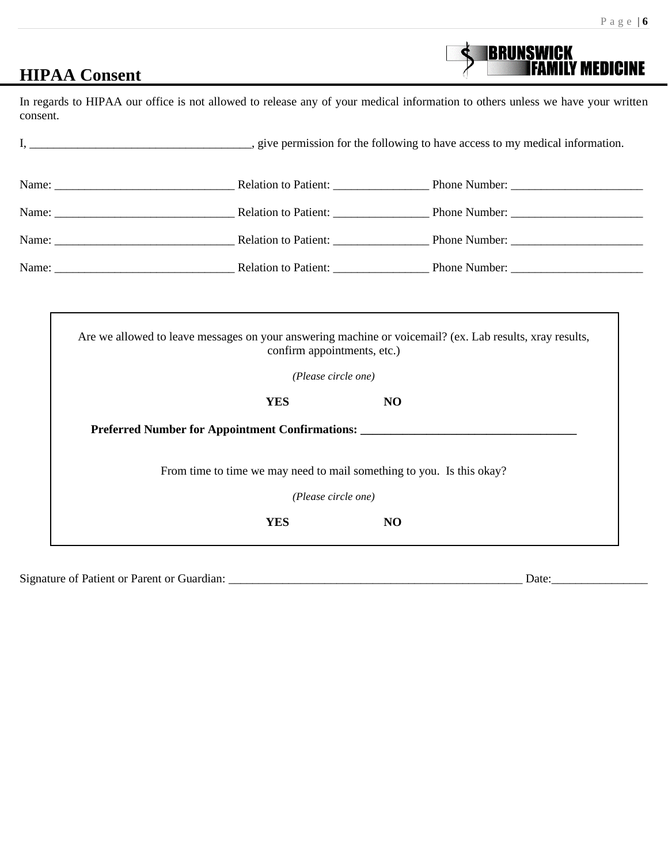**BRUNSWICK<br>FAMILY MEDICINE** 

# **HIPAA Consent**

In regards to HIPAA our office is not allowed to release any of your medical information to others unless we have your written consent.

|  | Name: Relation to Patient: Phone Number: |  |
|--|------------------------------------------|--|
|  |                                          |  |
|  |                                          |  |
|  | Name: Relation to Patient: Phone Number: |  |

|                                                 | confirm appointments, etc.) | Are we allowed to leave messages on your answering machine or voicemail? (ex. Lab results, xray results, |
|-------------------------------------------------|-----------------------------|----------------------------------------------------------------------------------------------------------|
|                                                 | (Please circle one)         |                                                                                                          |
|                                                 | <b>YES</b>                  | N <sub>O</sub>                                                                                           |
| Preferred Number for Appointment Confirmations: |                             |                                                                                                          |
|                                                 |                             | From time to time we may need to mail something to you. Is this okay?                                    |
|                                                 |                             |                                                                                                          |
|                                                 | (Please circle one)         |                                                                                                          |
|                                                 | <b>YES</b>                  | NO                                                                                                       |

Signature of Patient or Parent or Guardian: \_\_\_\_\_\_\_\_\_\_\_\_\_\_\_\_\_\_\_\_\_\_\_\_\_\_\_\_\_\_\_\_\_\_\_\_\_\_\_\_\_\_\_\_\_\_\_\_\_ Date:\_\_\_\_\_\_\_\_\_\_\_\_\_\_\_\_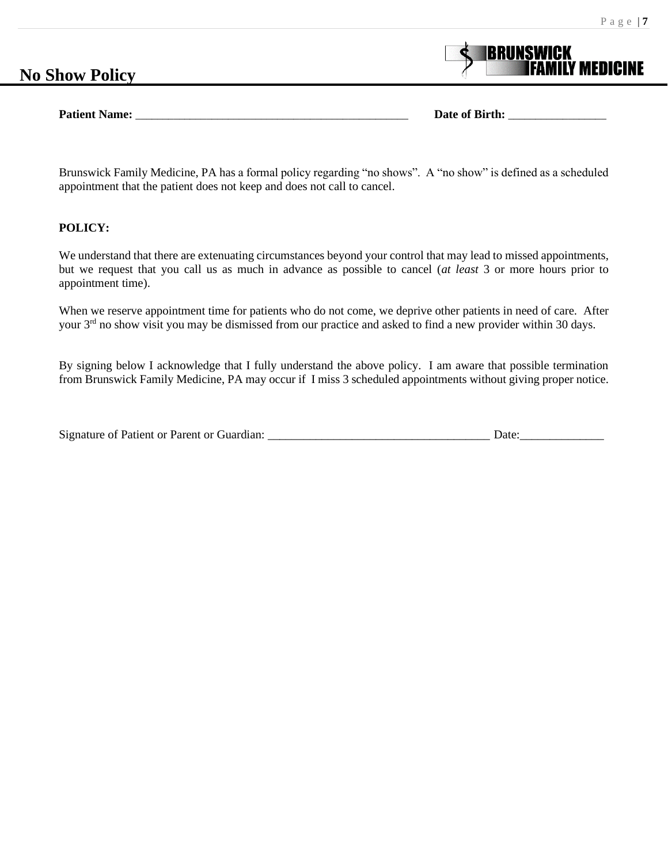# **No Show Policy**

**Patient Name: Date of Birth: Date of Birth: Date of Birth:** *Date of Birth:*

**BRUNSWICK** 

Brunswick Family Medicine, PA has a formal policy regarding "no shows". A "no show" is defined as a scheduled appointment that the patient does not keep and does not call to cancel.

#### **POLICY:**

We understand that there are extenuating circumstances beyond your control that may lead to missed appointments, but we request that you call us as much in advance as possible to cancel (*at least* 3 or more hours prior to appointment time).

When we reserve appointment time for patients who do not come, we deprive other patients in need of care. After your 3<sup>rd</sup> no show visit you may be dismissed from our practice and asked to find a new provider within 30 days.

By signing below I acknowledge that I fully understand the above policy. I am aware that possible termination from Brunswick Family Medicine, PA may occur if I miss 3 scheduled appointments without giving proper notice.

| Signature of Patient or Parent or Guardian: | Jate |
|---------------------------------------------|------|
|                                             |      |
|                                             |      |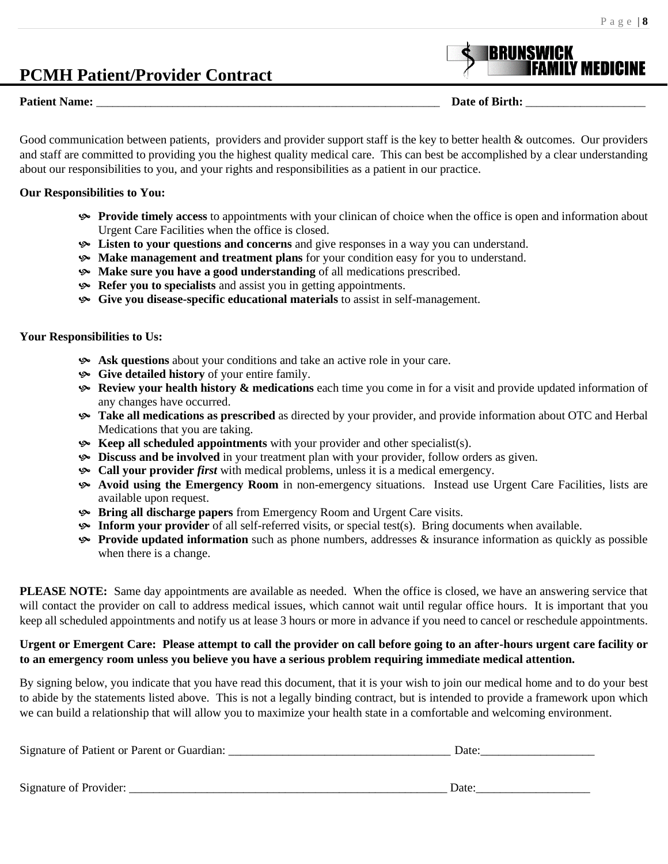# **PCMH Patient/Provider Contract**

#### **Patient Name:**  $\blacksquare$  **Date of Birth:**  $\blacksquare$

Good communication between patients, providers and provider support staff is the key to better health & outcomes. Our providers and staff are committed to providing you the highest quality medical care. This can best be accomplished by a clear understanding about our responsibilities to you, and your rights and responsibilities as a patient in our practice.

#### **Our Responsibilities to You:**

- **Provide timely access** to appointments with your clinican of choice when the office is open and information about Urgent Care Facilities when the office is closed.
- **Example 1** Extern to your questions and concerns and give responses in a way you can understand.
- **Make management and treatment plans** for your condition easy for you to understand.
- **Make sure you have a good understanding** of all medications prescribed.
- **Refer you to specialists** and assist you in getting appointments.
- **Give you disease-specific educational materials** to assist in self-management.

#### **Your Responsibilities to Us:**

- **Ask questions** about your conditions and take an active role in your care.
- **Give detailed history** of your entire family.
- **Review your health history & medications** each time you come in for a visit and provide updated information of any changes have occurred.
- **Take all medications as prescribed** as directed by your provider, and provide information about OTC and Herbal Medications that you are taking.
- **Keep all scheduled appointments** with your provider and other specialist(s).
- **Discuss and be involved** in your treatment plan with your provider, follow orders as given.
- **Call your provider** *first* with medical problems, unless it is a medical emergency.
- **Avoid using the Emergency Room** in non-emergency situations. Instead use Urgent Care Facilities, lists are available upon request.
- **Bring all discharge papers** from Emergency Room and Urgent Care visits.
- **Inform your provider** of all self-referred visits, or special test(s). Bring documents when available.
- **Provide updated information** such as phone numbers, addresses & insurance information as quickly as possible when there is a change.

**PLEASE NOTE:** Same day appointments are available as needed. When the office is closed, we have an answering service that will contact the provider on call to address medical issues, which cannot wait until regular office hours. It is important that you keep all scheduled appointments and notify us at lease 3 hours or more in advance if you need to cancel or reschedule appointments.

### **Urgent or Emergent Care: Please attempt to call the provider on call before going to an after-hours urgent care facility or to an emergency room unless you believe you have a serious problem requiring immediate medical attention.**

By signing below, you indicate that you have read this document, that it is your wish to join our medical home and to do your best to abide by the statements listed above. This is not a legally binding contract, but is intended to provide a framework upon which we can build a relationship that will allow you to maximize your health state in a comfortable and welcoming environment.

| Signature of Patient or Parent or Guardian: | Date: |
|---------------------------------------------|-------|
|                                             |       |
| Signature of Provider:                      | Date  |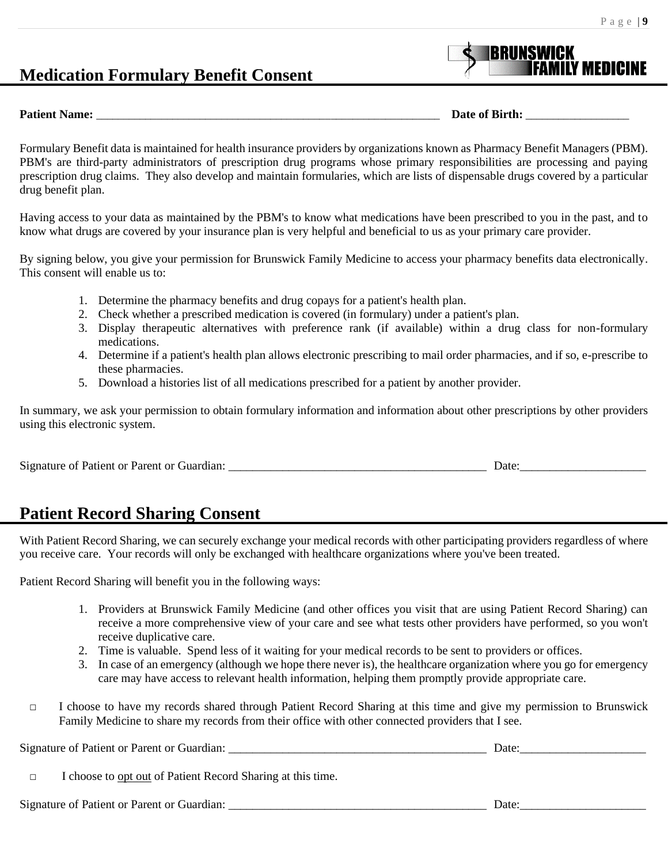# **Medication Formulary Benefit Consent**

**Patient Name: Date of Birth: Date of Birth: Date of Birth: Date of Birth:**  $\overline{a}$ 

**BRUNSWICK** 

Formulary Benefit data is maintained for health insurance providers by organizations known as Pharmacy Benefit Managers (PBM). PBM's are third-party administrators of prescription drug programs whose primary responsibilities are processing and paying prescription drug claims. They also develop and maintain formularies, which are lists of dispensable drugs covered by a particular drug benefit plan.

Having access to your data as maintained by the PBM's to know what medications have been prescribed to you in the past, and to know what drugs are covered by your insurance plan is very helpful and beneficial to us as your primary care provider.

By signing below, you give your permission for Brunswick Family Medicine to access your pharmacy benefits data electronically. This consent will enable us to:

- 1. Determine the pharmacy benefits and drug copays for a patient's health plan.
- 2. Check whether a prescribed medication is covered (in formulary) under a patient's plan.
- 3. Display therapeutic alternatives with preference rank (if available) within a drug class for non-formulary medications.
- 4. Determine if a patient's health plan allows electronic prescribing to mail order pharmacies, and if so, e-prescribe to these pharmacies.
- 5. Download a histories list of all medications prescribed for a patient by another provider.

In summary, we ask your permission to obtain formulary information and information about other prescriptions by other providers using this electronic system.

| Signature of Patient or Parent or Guardian: |  | Jate |
|---------------------------------------------|--|------|
|---------------------------------------------|--|------|

# **Patient Record Sharing Consent**

With Patient Record Sharing, we can securely exchange your medical records with other participating providers regardless of where you receive care. Your records will only be exchanged with healthcare organizations where you've been treated.

Patient Record Sharing will benefit you in the following ways:

- 1. Providers at Brunswick Family Medicine (and other offices you visit that are using Patient Record Sharing) can receive a more comprehensive view of your care and see what tests other providers have performed, so you won't receive duplicative care.
- 2. Time is valuable. Spend less of it waiting for your medical records to be sent to providers or offices.
- 3. In case of an emergency (although we hope there never is), the healthcare organization where you go for emergency care may have access to relevant health information, helping them promptly provide appropriate care.
- □ I choose to have my records shared through Patient Record Sharing at this time and give my permission to Brunswick Family Medicine to share my records from their office with other connected providers that I see.

Signature of Patient or Parent or Guardian: \_\_\_\_\_\_\_\_\_\_\_\_\_\_\_\_\_\_\_\_\_\_\_\_\_\_\_\_\_\_\_\_\_\_\_\_\_\_\_\_\_\_\_ Date:\_\_\_\_\_\_\_\_\_\_\_\_\_\_\_\_\_\_\_\_\_ □ I choose to opt out of Patient Record Sharing at this time.

Signature of Patient or Parent or Guardian: \_\_\_\_\_\_\_\_\_\_\_\_\_\_\_\_\_\_\_\_\_\_\_\_\_\_\_\_\_\_\_\_\_\_\_\_\_\_\_\_\_\_\_ Date:\_\_\_\_\_\_\_\_\_\_\_\_\_\_\_\_\_\_\_\_\_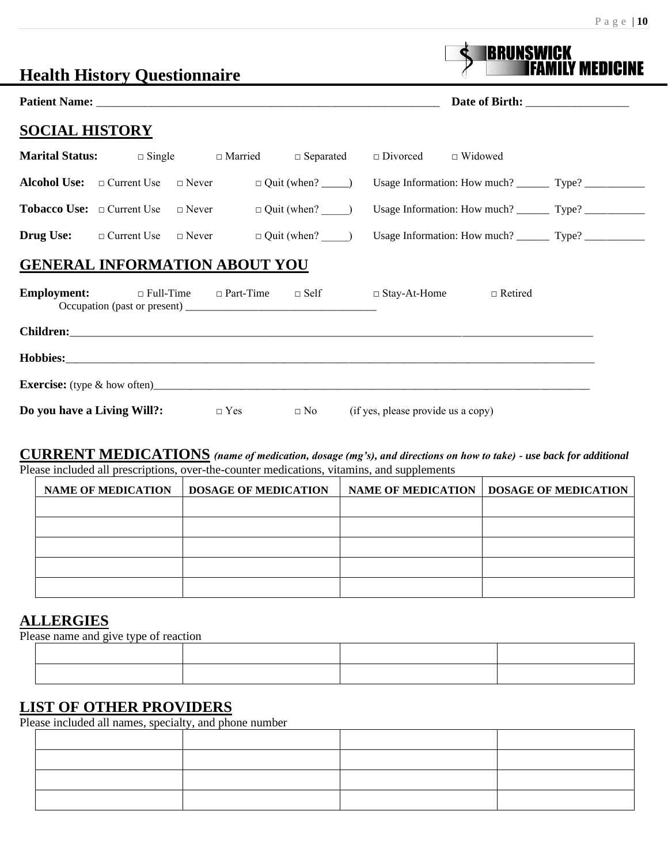|  |  | 10<br>J |
|--|--|---------|
|  |  |         |

|                             | <b>Health History Questionnaire</b>                                  |            |                             |                                    | IBRUNSWICK                                                                        | ly medicine |
|-----------------------------|----------------------------------------------------------------------|------------|-----------------------------|------------------------------------|-----------------------------------------------------------------------------------|-------------|
|                             |                                                                      |            |                             |                                    |                                                                                   |             |
| <b>SOCIAL HISTORY</b>       |                                                                      |            |                             |                                    |                                                                                   |             |
|                             | <b>Marital Status:</b> $\Box$ Single $\Box$ Married $\Box$ Separated |            |                             | $\Box$ Divorced $\Box$ Widowed     |                                                                                   |             |
|                             | <b>Alcohol Use:</b> $\Box$ Current Use $\Box$ Never                  |            |                             |                                    | Usage Information: How much? __________ Type? ___________________________________ |             |
|                             | <b>Tobacco Use:</b> $\Box$ Current Use $\Box$ Never                  |            |                             |                                    |                                                                                   |             |
|                             | <b>Drug Use:</b> $\Box$ Current Use $\Box$ Never                     |            | $\Box$ Quit (when? $\Box$ ) |                                    | Usage Information: How much? __________ Type? ___________________________________ |             |
|                             | <b>GENERAL INFORMATION ABOUT YOU</b>                                 |            |                             |                                    |                                                                                   |             |
|                             | <b>Employment:</b> □ Full-Time □ Part-Time □ Self □ Stay-At-Home     |            |                             |                                    | $\Box$ Retired                                                                    |             |
|                             |                                                                      |            |                             |                                    |                                                                                   |             |
|                             |                                                                      |            |                             |                                    |                                                                                   |             |
|                             |                                                                      |            |                             |                                    |                                                                                   |             |
| Do you have a Living Will?: |                                                                      | $\Box$ Yes | $\Box$ No                   | (if yes, please provide us a copy) |                                                                                   |             |

## **CURRENT MEDICATIONS** *(name of medication, dosage (mg's), and directions on how to take) - use back for additional* Please included all prescriptions, over-the-counter medications, vitamins, and supplements

| <b>NAME OF MEDICATION</b> | <b>DOSAGE OF MEDICATION</b> | NAME OF MEDICATION   DOSAGE OF MEDICATION |
|---------------------------|-----------------------------|-------------------------------------------|
|                           |                             |                                           |
|                           |                             |                                           |
|                           |                             |                                           |
|                           |                             |                                           |
|                           |                             |                                           |

## **ALLERGIES**

Please name and give type of reaction

# **LIST OF OTHER PROVIDERS**

Please included all names, specialty, and phone number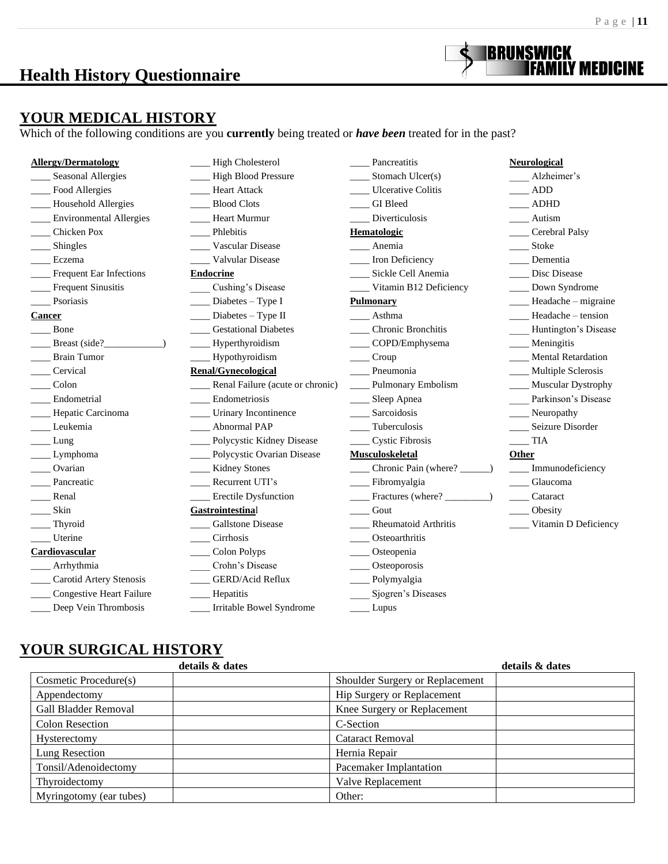# **Health History Questionnaire**



## **YOUR MEDICAL HISTORY**

Which of the following conditions are you **currently** being treated or *have been* treated for in the past?

| <b>Allergy/Dermatology</b>  | High Cholesterol                 | Pancreatitis                                                                                  | <b>Neurological</b>       |
|-----------------------------|----------------------------------|-----------------------------------------------------------------------------------------------|---------------------------|
| Seasonal Allergies          | - High Blood Pressure            | $\frac{1}{2}$ Stomach Ulcer(s)                                                                | Alzheimer's               |
| Food Allergies              | Heart Attack                     | Ulcerative Colitis                                                                            | $\frac{1}{2}$ ADD         |
| - Household Allergies       | Blood Clots                      | GI Bleed                                                                                      | $\_\_\$                   |
| ___ Environmental Allergies | Heart Murmur                     | Diverticulosis                                                                                | Autism                    |
| Chicken Pox                 | Phlebitis                        | Hematologic                                                                                   | Cerebral Palsy            |
| Shingles                    | Vascular Disease                 | Anemia                                                                                        | ____ Stoke                |
| Eczema                      | Valvular Disease                 | __ Iron Deficiency                                                                            | Dementia                  |
| _Frequent Ear Infections    | <b>Endocrine</b>                 | Sickle Cell Anemia                                                                            | Disc Disease              |
| <b>Frequent Sinusitis</b>   | Cushing's Disease                | Vitamin B12 Deficiency                                                                        | ___ Down Syndrome         |
| Psoriasis                   | $\frac{1}{2}$ Diabetes – Type I  | <b>Pulmonary</b>                                                                              | ____ Headache - migraine  |
| Cancer                      | $\frac{1}{2}$ Diabetes – Type II | Asthma                                                                                        | $Headache - tension$      |
| Bone                        | <b>Gestational Diabetes</b>      | <b>Chronic Bronchitis</b>                                                                     | Huntington's Disease      |
| Breast (side?)              | $\_\_\$ Hyperthyroidism          | ___ COPD/Emphysema                                                                            | Meningitis                |
| <b>Brain Tumor</b>          | ___ Hypothyroidism               | Croup                                                                                         | <b>Mental Retardation</b> |
| Cervical                    | <b>Renal/Gynecological</b>       | Pneumonia                                                                                     | ___ Multiple Sclerosis    |
| Colon                       | Renal Failure (acute or chronic) | ___ Pulmonary Embolism                                                                        | ____ Muscular Dystrophy   |
| Endometrial                 | Endometriosis                    | __ Sleep Apnea                                                                                | Parkinson's Disease       |
| - Hepatic Carcinoma         | _____ Urinary Incontinence       | ____ Sarcoidosis                                                                              | $\frac{1}{2}$ Neuropathy  |
| Leukemia                    | <b>Abnormal PAP</b>              | Tuberculosis                                                                                  | Seizure Disorder          |
| Lung                        | ____ Polycystic Kidney Disease   | <b>Cystic Fibrosis</b>                                                                        | TIA                       |
| Lymphoma                    | ____ Polycystic Ovarian Disease  | <b>Musculoskeletal</b>                                                                        | Other                     |
| Ovarian                     | ___ Kidney Stones                | ___ Chronic Pain (where? _                                                                    | Immunodeficiency          |
| Pancreatic                  | Recurrent UTI's                  | __ Fibromyalgia                                                                               | Glaucoma                  |
| Renal                       | ___ Erectile Dysfunction         | $\frac{1}{\sqrt{1-\frac{1}{2}}\sqrt{1-\frac{1}{2}}\sqrt{1-\frac{1}{2}}\sqrt{1-\frac{1}{2}}}}$ | Cataract<br>$\frac{1}{2}$ |
| Skin                        | Gastrointestinal                 | $\frac{1}{\sqrt{1-\frac{1}{2}}}$ Gout                                                         | Obesity                   |
| Thyroid                     | <b>Gallstone Disease</b>         | Rheumatoid Arthritis                                                                          | ____ Vitamin D Deficiency |
| Uterine                     | <b>Cirrhosis</b>                 | Osteoarthritis                                                                                |                           |
| Cardiovascular              | Colon Polyps                     | $\_\_$ Osteopenia                                                                             |                           |
| Arrhythmia                  | Crohn's Disease                  | $\_\_$ Osteoporosis                                                                           |                           |
| Carotid Artery Stenosis     | <b>GERD/Acid Reflux</b>          | __ Polymyalgia                                                                                |                           |
| Congestive Heart Failure    | Hepatitis                        | Sjogren's Diseases                                                                            |                           |
| Deep Vein Thrombosis        | Irritable Bowel Syndrome         | Lupus                                                                                         |                           |

# **YOUR SURGICAL HISTORY**

| details & dates             | details & dates                 |
|-----------------------------|---------------------------------|
| Cosmetic Procedure(s)       | Shoulder Surgery or Replacement |
| Appendectomy                | Hip Surgery or Replacement      |
| <b>Gall Bladder Removal</b> | Knee Surgery or Replacement     |
| <b>Colon Resection</b>      | C-Section                       |
| <b>Hysterectomy</b>         | <b>Cataract Removal</b>         |
| Lung Resection              | Hernia Repair                   |
| Tonsil/Adenoidectomy        | Pacemaker Implantation          |
| Thyroidectomy               | Valve Replacement               |
| Myringotomy (ear tubes)     | Other:                          |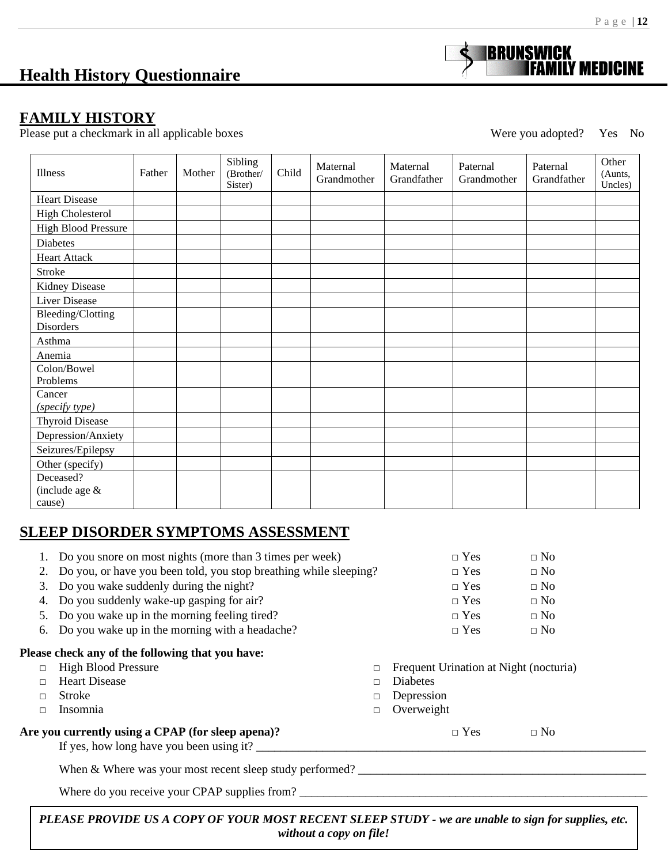# **Health History Questionnaire**

## **FAMILY HISTORY**

Please put a checkmark in all applicable boxes Were you adopted? Yes No

**BRUNSWICK** 

| Illness                                      | Father | Mother | Sibling<br>(Brother/<br>Sister) | Child | Maternal<br>Grandmother | Maternal<br>Grandfather | Paternal<br>Grandmother | Paternal<br>Grandfather | Other<br>(Aunts,<br>Uncles) |
|----------------------------------------------|--------|--------|---------------------------------|-------|-------------------------|-------------------------|-------------------------|-------------------------|-----------------------------|
| <b>Heart Disease</b>                         |        |        |                                 |       |                         |                         |                         |                         |                             |
| <b>High Cholesterol</b>                      |        |        |                                 |       |                         |                         |                         |                         |                             |
| <b>High Blood Pressure</b>                   |        |        |                                 |       |                         |                         |                         |                         |                             |
| Diabetes                                     |        |        |                                 |       |                         |                         |                         |                         |                             |
| <b>Heart Attack</b>                          |        |        |                                 |       |                         |                         |                         |                         |                             |
| Stroke                                       |        |        |                                 |       |                         |                         |                         |                         |                             |
| Kidney Disease                               |        |        |                                 |       |                         |                         |                         |                         |                             |
| <b>Liver Disease</b>                         |        |        |                                 |       |                         |                         |                         |                         |                             |
| <b>Bleeding/Clotting</b><br><b>Disorders</b> |        |        |                                 |       |                         |                         |                         |                         |                             |
| Asthma                                       |        |        |                                 |       |                         |                         |                         |                         |                             |
| Anemia                                       |        |        |                                 |       |                         |                         |                         |                         |                             |
| Colon/Bowel<br>Problems                      |        |        |                                 |       |                         |                         |                         |                         |                             |
| Cancer<br>(specify type)                     |        |        |                                 |       |                         |                         |                         |                         |                             |
| <b>Thyroid Disease</b>                       |        |        |                                 |       |                         |                         |                         |                         |                             |
| Depression/Anxiety                           |        |        |                                 |       |                         |                         |                         |                         |                             |
| Seizures/Epilepsy                            |        |        |                                 |       |                         |                         |                         |                         |                             |
| Other (specify)                              |        |        |                                 |       |                         |                         |                         |                         |                             |
| Deceased?                                    |        |        |                                 |       |                         |                         |                         |                         |                             |
| (include age $&$<br>cause)                   |        |        |                                 |       |                         |                         |                         |                         |                             |

## **SLEEP DISORDER SYMPTOMS ASSESSMENT**

|        | Do you snore on most nights (more than 3 times per week)          | $\Box$ Yes                             | $\Box$ No |  |
|--------|-------------------------------------------------------------------|----------------------------------------|-----------|--|
| 2.     | Do you, or have you been told, you stop breathing while sleeping? | $\Box$ Yes                             | $\Box$ No |  |
| 3.     | Do you wake suddenly during the night?                            | $\sqcap$ Yes                           | $\Box$ No |  |
| 4.     | Do you suddenly wake-up gasping for air?                          | $\sqcap$ Yes                           | $\Box$ No |  |
| 5.     | Do you wake up in the morning feeling tired?                      | $\Box$ Yes                             | $\Box$ No |  |
| 6.     | Do you wake up in the morning with a headache?                    | $\Box$ Yes                             | $\Box$ No |  |
|        | Please check any of the following that you have:                  |                                        |           |  |
| П      | <b>High Blood Pressure</b><br>□                                   | Frequent Urination at Night (nocturia) |           |  |
| $\Box$ | <b>Heart Disease</b><br>□                                         | Diabetes                               |           |  |
| $\Box$ | Stroke<br>□                                                       | Depression                             |           |  |
| □      | Insomnia<br>□                                                     | Overweight                             |           |  |
|        | Are you currently using a CPAP (for sleep apena)?                 | $\Box$ Yes                             | $\Box$ No |  |
|        | If yes, how long have you been using it?                          |                                        |           |  |
|        | When <i>b</i> Where wee your meet recent clean study newformed?   |                                        |           |  |

When & Where was your most recent sleep study performed? \_\_\_\_\_\_\_\_\_\_\_\_\_\_\_\_\_\_\_\_\_\_\_\_\_\_\_\_\_\_\_\_\_\_\_\_\_\_\_\_\_\_\_\_\_\_\_\_

Where do you receive your CPAP supplies from?

*PLEASE PROVIDE US A COPY OF YOUR MOST RECENT SLEEP STUDY - we are unable to sign for supplies, etc. without a copy on file!*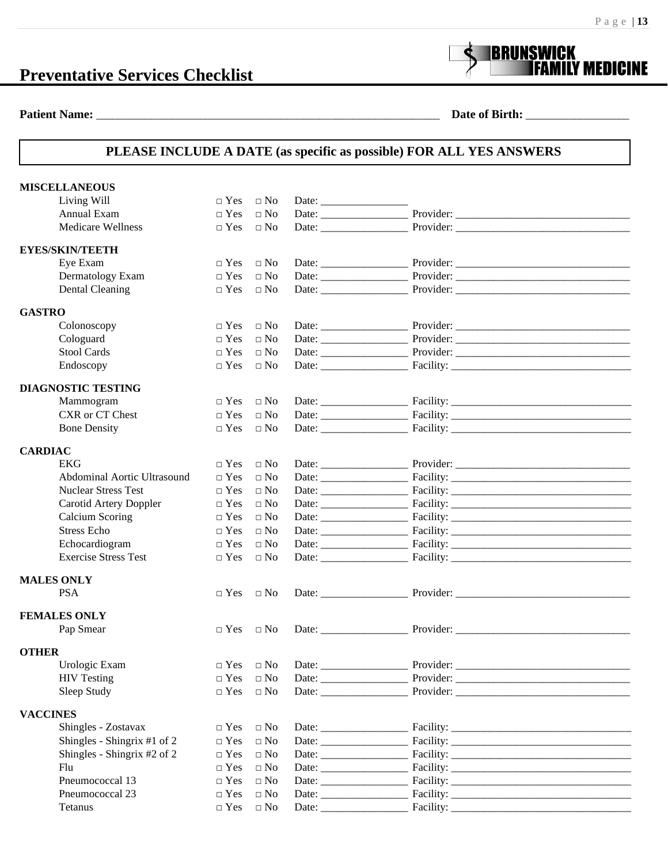# **Preventative Services Checklist**



**Patient Name:** \_\_\_\_\_\_\_\_\_\_\_\_\_\_\_\_\_\_\_\_\_\_\_\_\_\_\_\_\_\_\_\_\_\_\_\_\_\_\_\_\_\_\_\_\_\_\_\_\_\_\_\_\_\_\_\_\_\_\_\_\_\_\_ **Date of Birth:** \_\_\_\_\_\_\_\_\_\_\_\_\_\_\_\_\_\_\_

## **PLEASE INCLUDE A DATE (as specific as possible) FOR ALL YES ANSWERS**

| <b>MISCELLANEOUS</b>               |                      |                     |                           |
|------------------------------------|----------------------|---------------------|---------------------------|
| Living Will                        | $\Box$ Yes           | $\Box$ No           |                           |
| Annual Exam                        | $\Box$ Yes           | $\Box$ No           |                           |
| <b>Medicare Wellness</b>           | $\Box$ Yes           | $\Box$ No           |                           |
| <b>EYES/SKIN/TEETH</b>             |                      |                     |                           |
| Eye Exam                           | $\Box$ Yes           | $\Box$ No           |                           |
| Dermatology Exam                   | $\hfill \square$ Yes | $\hfill \Box$<br>No | Provider:                 |
| Dental Cleaning                    | $\Box$ Yes           | $\Box$ No           |                           |
| <b>GASTRO</b>                      |                      |                     |                           |
| Colonoscopy                        | $\Box$ Yes           | $\Box$ No           |                           |
| Cologuard                          | $\Box$ Yes           | $\Box$ No           |                           |
| <b>Stool Cards</b>                 | $\Box$ Yes           | $\Box$ No           |                           |
| Endoscopy                          | $\Box$ Yes           | $\Box$ No           |                           |
| <b>DIAGNOSTIC TESTING</b>          |                      |                     |                           |
| Mammogram                          | $\hfill \square$ Yes | $\Box$ No           |                           |
| CXR or CT Chest                    | $\Box$ Yes           | $\Box$ No           |                           |
| <b>Bone Density</b>                | $\Box$ Yes           | $\Box$ No           |                           |
| <b>CARDIAC</b>                     |                      |                     |                           |
| <b>EKG</b>                         | $\Box$ Yes           | $\Box$ No           |                           |
| <b>Abdominal Aortic Ultrasound</b> | $\Box$ Yes           | $\Box$ No           |                           |
| <b>Nuclear Stress Test</b>         | $\Box$ Yes           | $\Box$ No           |                           |
| Carotid Artery Doppler             | $\Box$ Yes           | $\Box$ No           |                           |
| Calcium Scoring                    | $\Box$ Yes           | $\Box$ No           |                           |
| <b>Stress Echo</b>                 | $\Box$ Yes           | $\Box$ No           |                           |
| Echocardiogram                     | $\Box$ Yes           | $\Box$ No           |                           |
| <b>Exercise Stress Test</b>        | $\Box$ Yes           | $\Box$ No           |                           |
| <b>MALES ONLY</b>                  |                      |                     |                           |
| <b>PSA</b>                         | $\Box$ Yes           | $\Box$ No           |                           |
| <b>FEMALES ONLY</b>                |                      |                     |                           |
| Pap Smear                          | $\Box$ Yes           | $\Box$ No           |                           |
| <b>OTHER</b>                       |                      |                     |                           |
| Urologic Exam                      | $\Box$ Yes           | $\Box$ No           | Date: Provider: Provider: |
| <b>HIV Testing</b>                 | $\Box$ Yes           | $\Box$ No           |                           |
| Sleep Study                        | $\Box$ Yes           | $\Box$ No           |                           |
| <b>VACCINES</b>                    |                      |                     |                           |
| Shingles - Zostavax                | $\Box$ Yes           | $\Box$ No           |                           |
| Shingles - Shingrix #1 of 2        | $\Box$ Yes           | $\Box$ No           |                           |
| Shingles - Shingrix #2 of 2        | $\Box$ Yes           | $\Box$ No           |                           |
| Flu                                | $\Box$ Yes           | $\Box$ No           |                           |
| Pneumococcal 13                    | $\Box$ Yes           | $\Box$ No           |                           |
| Pneumococcal 23                    | $\Box$ Yes           | $\Box$ No           |                           |
| Tetanus                            | $\Box$ Yes           | $\hfill \Box$<br>No |                           |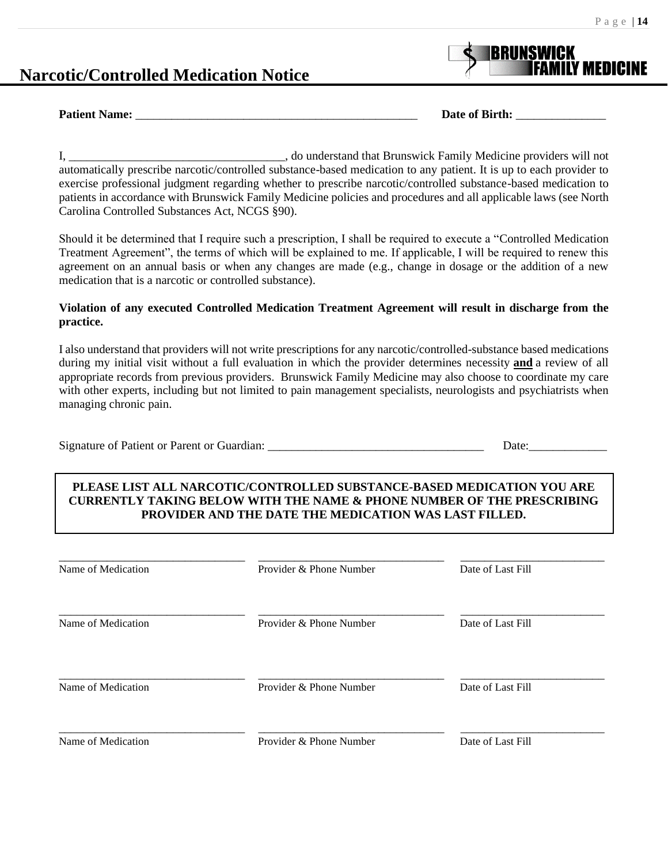## **Narcotic/Controlled Medication Notice**



**Patient Name:**  $\qquad \qquad$  Date of Birth:  $\qquad \qquad$  Date of Birth:  $\qquad \qquad$ 

I, \_\_\_\_\_\_\_\_\_\_\_\_\_\_\_\_\_\_\_\_\_\_\_\_\_\_\_\_\_\_\_\_\_\_\_\_, do understand that Brunswick Family Medicine providers will not automatically prescribe narcotic/controlled substance-based medication to any patient. It is up to each provider to exercise professional judgment regarding whether to prescribe narcotic/controlled substance-based medication to patients in accordance with Brunswick Family Medicine policies and procedures and all applicable laws (see North Carolina Controlled Substances Act, NCGS §90).

Should it be determined that I require such a prescription, I shall be required to execute a "Controlled Medication Treatment Agreement", the terms of which will be explained to me. If applicable, I will be required to renew this agreement on an annual basis or when any changes are made (e.g., change in dosage or the addition of a new medication that is a narcotic or controlled substance).

#### **Violation of any executed Controlled Medication Treatment Agreement will result in discharge from the practice.**

I also understand that providers will not write prescriptions for any narcotic/controlled-substance based medications during my initial visit without a full evaluation in which the provider determines necessity **and** a review of all appropriate records from previous providers. Brunswick Family Medicine may also choose to coordinate my care with other experts, including but not limited to pain management specialists, neurologists and psychiatrists when managing chronic pain.

| Signature of Patient or Parent or Guardian: |      |
|---------------------------------------------|------|
|                                             | Date |
|                                             |      |
|                                             |      |

### **PLEASE LIST ALL NARCOTIC/CONTROLLED SUBSTANCE-BASED MEDICATION YOU ARE CURRENTLY TAKING BELOW WITH THE NAME & PHONE NUMBER OF THE PRESCRIBING PROVIDER AND THE DATE THE MEDICATION WAS LAST FILLED.**

| Name of Medication | Provider & Phone Number | Date of Last Fill |
|--------------------|-------------------------|-------------------|
| Name of Medication | Provider & Phone Number | Date of Last Fill |
| Name of Medication | Provider & Phone Number | Date of Last Fill |
| Name of Medication | Provider & Phone Number | Date of Last Fill |